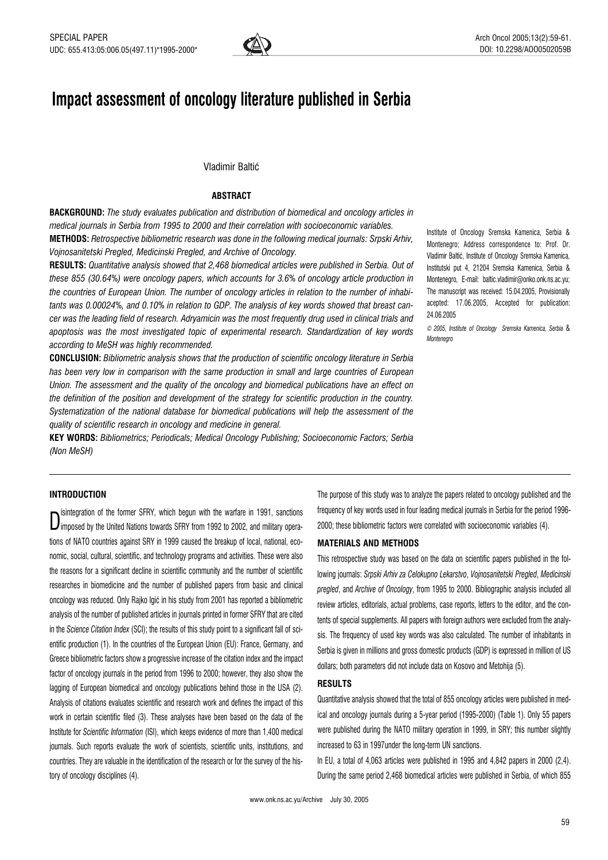

# Impact assessment of oncology literature published in Serbia

# Vladimir Baltić

# **ABSTRACT**

BACKGROUND: The study evaluates publication and distribution of biomedical and oncology articles in medical journals in Serbia from 1995 to 2000 and their correlation with socioeconomic variables.

METHODS: Retrospective bibliometric research was done in the following medical journals: Srpski Arhiv, Vojnosanitetski Pregled, Medicinski Pregled, and Archive of Oncology.

RESULTS: Quantitative analysis showed that 2,468 biomedical articles were published in Serbia. Out of these 855 (30.64%) were oncology papers, which accounts for 3.6% of oncology article production in the countries of European Union. The number of oncology articles in relation to the number of inhabitants was 0.00024%, and 0.10% in relation to GDP. The analysis of key words showed that breast cancer was the leading field of research. Adryamicin was the most frequently drug used in clinical trials and apoptosis was the most investigated topic of experimental research. Standardization of key words according to MeSH was highly recommended.

CONCLUSION: Bibliometric analysis shows that the production of scientific oncology literature in Serbia has been very low in comparison with the same production in small and large countries of European Union. The assessment and the quality of the oncology and biomedical publications have an effect on the definition of the position and development of the strategy for scientific production in the country. Systematization of the national database for biomedical publications will help the assessment of the quality of scientific research in oncology and medicine in general.

KEY WORDS: Bibliometrics; Periodicals; Medical Oncology Publishing; Socioeconomic Factors; Serbia (Non MeSH)

Institute of Oncology Sremska Kamenica, Serbia & Montenegro; Address correspondence to: Prof. Dr. Vladimir Baltić, Institute of Oncology Sremska Kamenica, Institutski put 4, 21204 Sremska Kamenica, Serbia & Montenegro, E-mail: baltic.vladimir@onko.onk.ns.ac.yu; The manuscript was received: 15.04.2005, Provisionally acepted: 17.06.2005, Accepted for publication: 24.06.2005

© 2005, Institute of Oncology Sremska Kamenica, Serbia & Montenegro

### INTRODUCTION

Dimposed by the United Nations towards SFRY from 1992 to 2002, and military operaisintegration of the former SFRY, which begun with the warfare in 1991, sanctions tions of NATO countries against SRY in 1999 caused the breakup of local, national, economic, social, cultural, scientific, and technology programs and activities. These were also the reasons for a significant decline in scientific community and the number of scientific researches in biomedicine and the number of published papers from basic and clinical oncology was reduced. Only Rajko Igić in his study from 2001 has reported a bibliometric analysis of the number of published articles in journals printed in former SFRY that are cited in the Science Citation Index (SCI); the results of this study point to a significant fall of scientific production (1). In the countries of the European Union (EU): France, Germany, and Greece bibliometric factors show a progressive increase of the citation index and the impact factor of oncology journals in the period from 1996 to 2000; however, they also show the lagging of European biomedical and oncology publications behind those in the USA (2). Analysis of citations evaluates scientific and research work and defines the impact of this work in certain scientific filed (3). These analyses have been based on the data of the Institute for Scientific Information (ISI), which keeps evidence of more than 1,400 medical journals. Such reports evaluate the work of scientists, scientific units, institutions, and countries. They are valuable in the identification of the research or for the survey of the history of oncology disciplines (4).

The purpose of this study was to analyze the papers related to oncology published and the frequency of key words used in four leading medical journals in Serbia for the period 1996- 2000; these bibliometric factors were correlated with socioeconomic variables (4).

#### MATERIALS AND METHODS

This retrospective study was based on the data on scientific papers published in the following journals: Srpski Arhiv za Celokupno Lekarstvo, Vojnosanitetski Pregled, Medicinski pregled, and Archive of Oncology, from 1995 to 2000. Bibliographic analysis included all review articles, editorials, actual problems, case reports, letters to the editor, and the contents of special supplements. All papers with foreign authors were excluded from the analysis. The frequency of used key words was also calculated. The number of inhabitants in Serbia is given in millions and gross domestic products (GDP) is expressed in million of US dollars; both parameters did not include data on Kosovo and Metohija (5).

#### RESULTS

Quantitative analysis showed that the total of 855 oncology articles were published in medical and oncology journals during a 5-year period (1995-2000) (Table 1). Only 55 papers were published during the NATO military operation in 1999, in SRY; this number slightly increased to 63 in 1997under the long-term UN sanctions.

In EU, a total of 4,063 articles were published in 1995 and 4,842 papers in 2000 (2,4). During the same period 2,468 biomedical articles were published in Serbia, of which 855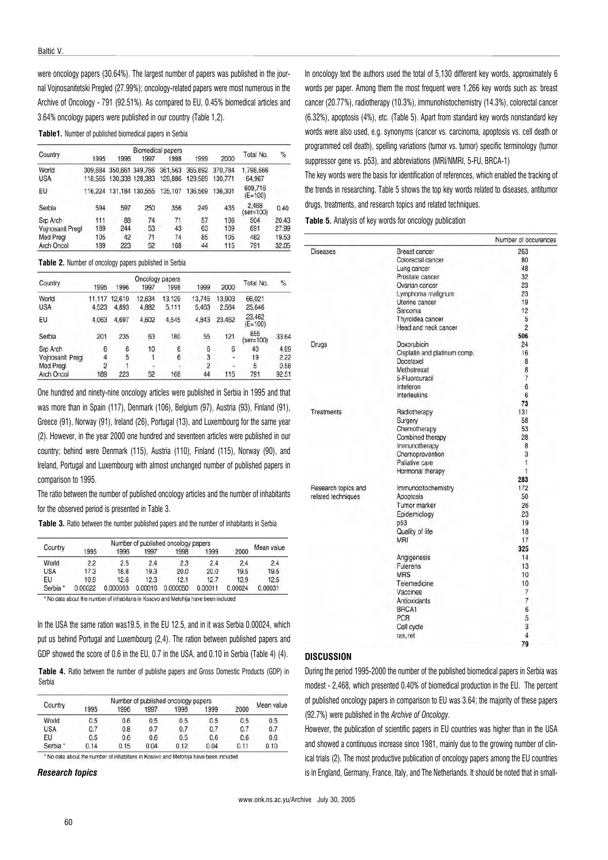were oncology papers (30.64%). The largest number of papers was published in the journal Vojnosanitetski Pregled (27.99%); oncology-related papers were most numerous in the Archive of Oncology - 791 (92.51%). As compared to EU, 0.45% biomedical articles and 3.64% oncology papers were published in our country (Table 1,2).

Table1. Number of published biomedical papers in Serbia

|                  | Biomedical papers |                         |                 |         |         |         |                      |       |  |
|------------------|-------------------|-------------------------|-----------------|---------|---------|---------|----------------------|-------|--|
| Country          | 1995              | 1996                    | 1997            | 1998    | 1999    | 2000    | Total No.            | %     |  |
| World            | 309.684           |                         | 350.661 349.766 | 361,563 | 365,892 | 370.784 | 1.798.666            |       |  |
| <b>USA</b>       |                   | 118,565 130,338 128,383 |                 | 129,886 | 129,589 | 130,771 | 64.967               |       |  |
| EU               |                   | 116,224 131,184 130,555 |                 | 135,107 | 136,569 | 136.301 | 609.716<br>$(E=100)$ |       |  |
| Serbia           | 594               | 597                     | 250             | 356     | 249     | 435     | 2.468<br>$(ser=100)$ | 0.40  |  |
| Srp Arch         | 111               | 88                      | 74              | 71      | 57      | 106     | 504                  | 20.43 |  |
| Voinosanit Pregl | 189               | 244                     | 53              | 43      | 63      | 109     | 691                  | 27.99 |  |
| Med Pregl        | 105               | 42                      | 71              | 74      | 85      | 105     | 482                  | 19.53 |  |
| Arch Oncol       | 189               | 223                     | 52              | 168     | 44      | 115     | 791                  | 32.05 |  |

#### Table 2. Number of oncology papers published in Serbia

|                  |                |        | Oncology papers |        |                |        | Total No.           | %    |
|------------------|----------------|--------|-----------------|--------|----------------|--------|---------------------|------|
| Country          | 1995           | 1996   | 1997            | 1998   | 1999           | 2000   |                     |      |
| World            | 11,117         | 12.610 | 12.634          | 13.129 | 13,745         | 13,903 | 66.021              |      |
| USA              | 4,523          | 4,893  | 4,882           | 5,111  | 5.463          | 2,564  | 25.646              |      |
| EU               | 4.063          | 4.697  | 4.602           | 4.545  | 4.843          | 23,462 | 23.462<br>$(E=100)$ |      |
| Serbia           | 201            | 235    | 63              | 180    | 55             | 121    | 855<br>$(ser=100)$  | 33.6 |
| Srp Arch         | 6              | 6      | 10              | 6      | 6              | 6      | 40                  | 4.69 |
| Voinosanit Pregl | 4              | 5      |                 | 6      | 3              | ٠      | 19                  | 2.22 |
| Med Pregl        | $\overline{2}$ |        |                 |        | $\overline{2}$ |        | 5                   | 0.5i |
| Arch Oncol       | 189            | 223    | 52              | 168    | 44             | 115    | 791                 | 92.5 |

One hundred and ninety-nine oncology articles were published in Serbia in 1995 and that was more than in Spain (117), Denmark (106), Belgium (97), Austria (93), Finland (91), Greece (91), Norway (91), Ireland (26), Portugal (13), and Luxembourg for the same year (2). However, in the year 2000 one hundred and seventeen articles were published in our country; behind were Denmark (115), Austria (110), Finland (115), Norway (90), and Ireland, Portugal and Luxembourg with almost unchanged number of published papers in comparison to 1995.

The ratio between the number of published oncology articles and the number of inhabitants for the observed period is presented in Table 3.

Table 3. Ratio between the number published papers and the number of inhabitants in Serbia

|                     |         | Number of published oncology papers |         |          |         |         |            |  |
|---------------------|---------|-------------------------------------|---------|----------|---------|---------|------------|--|
| Country<br>1995     |         | 1996                                | 1997    | 1998     | 1999    | 2000    | Mean value |  |
| World               | 2.2     | 2.5                                 | 2.4     | 2.3      | 2.4     | 2.4     | 2.4        |  |
| <b>USA</b>          | 17.3    | 18.8                                | 19.3    | 20.0     | 20.0    | 19.5    | 19.5       |  |
| EU                  | 10.9    | 12.6                                | 12.3    | 12.1     | 12.7    | 12.9    | 12.5       |  |
| Serbia <sup>*</sup> | 0.00022 | 0.000063                            | 0.00016 | 0.000050 | 0.00011 | 0.00024 | 0.00031    |  |

\* No data about the number of inhabitans in Kosovo and Metohija have been included

In the USA the same ration was19.5, in the EU 12.5, and in it was Serbia 0.00024, which put us behind Portugal and Luxembourg (2,4). The ration between published papers and GDP showed the score of 0.6 in the EU, 0.7 in the USA, and 0.10 in Serbia (Table 4) (4).

Table 4. Ratio between the number of publishe papers and Gross Domestic Products (GDP) in Serbia

|            |      |      |      | Number of published oncology papers |      |      |            |
|------------|------|------|------|-------------------------------------|------|------|------------|
| Country    | 1995 | 1996 | 1997 | 1998                                | 1999 | 2000 | Mean value |
| World      | 0.5  | 0.6  | 0.5  | 0.5                                 | 0.5  | 0.5  | 0.5        |
| <b>USA</b> | 0.7  | 0.8  | 0.7  | 0.7                                 | 0.7  | 0.7  | 0.7        |
| EU         | 0.5  | 0.6  | 0.6  | 0.5                                 | 0.6  | 0.6  | 0.6        |
| Serbia *   | 0.14 | 0.15 | 0.04 | 0.12                                | 0.04 | 0.11 | 0.10       |

\* No data about the number of inhabitans in Kosovo and Metohija have been included

#### Research topics

In oncology text the authors used the total of 5,130 different key words, approximately 6 words per paper. Among them the most frequent were 1,266 key words such as: breast cancer (20.77%), radiotherapy (10.3%), immunohistochemistry (14.3%), colorectal cancer (6.32%), apoptosis (4%), etc. (Table 5). Apart from standard key words nonstandard key words were also used, e.g. synonyms (cancer vs. carcinoma, apoptosis vs. cell death or programmed cell death), spelling variations (tumor vs. tumor) specific terminology (tumor suppressor gene vs. p53), and abbreviations (MRI/NMRI, 5-FU, BRCA-1)

The key words were the basis for identification of references, which enabled the tracking of the trends in researching. Table 5 shows the top key words related to diseases, antitumor drugs, treatments, and research topics and related techniques.

Table 5. Analysis of key words for oncology publication

|                     |                              | Number of occurences |
|---------------------|------------------------------|----------------------|
| <b>Diseases</b>     | <b>Breast cancer</b>         | 263                  |
|                     | Colorectal cancer            | 80                   |
|                     | Lung cancer                  | 48                   |
|                     | Prostate cancer              | 32                   |
|                     | Ovarian cancer               | 23                   |
|                     | Lymphoma malignum            | 23                   |
|                     | Uterine cancer               | 19                   |
|                     | Sarcoma                      | 12                   |
|                     | Thyroidea cancer             | 5                    |
|                     | Head and neck cancer         | $\overline{2}$       |
|                     |                              | 506                  |
| <b>Drugs</b>        | Doxorubicin                  | 24                   |
|                     | Cisplatin and platinum comp. | 16                   |
|                     | Docetaxel                    | 8                    |
|                     | Methotrexat                  | 8                    |
|                     | 5-Fluorouracil               | 7                    |
|                     | Inteferon                    | 6                    |
|                     | Interleukins                 | 6                    |
|                     |                              | 73                   |
| <b>Treatments</b>   | Radiotherapy                 | 131                  |
|                     | Surgery                      | 58                   |
|                     | Chemotherapy                 | 53                   |
|                     | Combined therapy             | 28                   |
|                     |                              | 8                    |
|                     | Immunotherapy                |                      |
|                     | Chemoprevention              | 3<br>Ť.              |
|                     | Paliative care               |                      |
|                     | Hormonal therapy             | 1                    |
|                     |                              | 283                  |
| Research topics and | Immunocitochemistry          | 172                  |
| related techniques  | Apoptosis                    | 50                   |
|                     | Tumor marker                 | 26                   |
|                     | Epidemiology                 | 23                   |
|                     | p53                          | 19                   |
|                     | Quality of life              | 18                   |
|                     | MRI                          | 17                   |
|                     |                              | 325                  |
|                     | Angigenesis                  | 14                   |
|                     | Fulerens                     | 13                   |
|                     | <b>MRS</b>                   | 10                   |
|                     | Telemedicine                 | 10                   |
|                     | Vaccines                     | 7                    |
|                     | Antioxidants                 | $\overline{7}$       |
|                     | BRCA1                        | 6                    |
|                     | PCR                          | 5                    |
|                     | Cell cycle                   | 3                    |
|                     |                              | 4                    |
|                     | ras, ret                     |                      |
|                     |                              | 79                   |

# **DISCUSSION**

During the period 1995-2000 the number of the published biomedical papers in Serbia was modest - 2,468, which presented 0.40% of biomedical production in the EU. The percent of published oncology papers in comparison to EU was 3.64; the majority of these papers (92.7%) were published in the Archive of Oncology.

However, the publication of scientific papers in EU countries was higher than in the USA and showed a continuous increase since 1981, mainly due to the growing number of clinical trials (2). The most productive publication of oncology papers among the EU countries is in England, Germany, France, Italy, and The Netherlands. It should be noted that in small